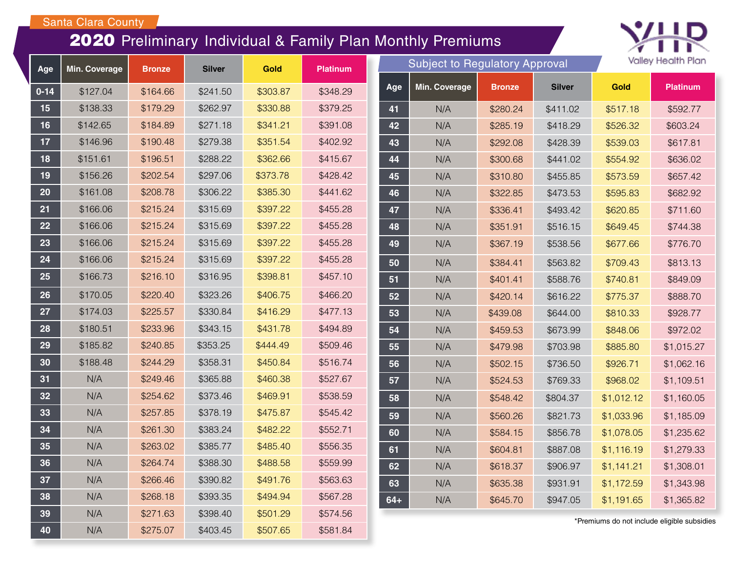## Santa Clara County

## Preliminary Individual & Family Plan Monthly Premiums



| Age      | Min. Coverage | <b>Bronze</b> | <b>Silver</b> | Gold     | Platinum |
|----------|---------------|---------------|---------------|----------|----------|
| $0 - 14$ | \$127.04      | \$164.66      | \$241.50      | \$303.87 | \$348.29 |
| 15       | \$138.33      | \$179.29      | \$262.97      | \$330.88 | \$379.25 |
| 16       | \$142.65      | \$184.89      | \$271.18      | \$341.21 | \$391.08 |
| 17       | \$146.96      | \$190.48      | \$279.38      | \$351.54 | \$402.92 |
| 18       | \$151.61      | \$196.51      | \$288.22      | \$362.66 | \$415.67 |
| 19       | \$156.26      | \$202.54      | \$297.06      | \$373.78 | \$428.42 |
| 20       | \$161.08      | \$208.78      | \$306.22      | \$385.30 | \$441.62 |
| 21       | \$166.06      | \$215.24      | \$315.69      | \$397.22 | \$455.28 |
| 22       | \$166.06      | \$215.24      | \$315.69      | \$397.22 | \$455.28 |
| 23       | \$166.06      | \$215.24      | \$315.69      | \$397.22 | \$455.28 |
| 24       | \$166.06      | \$215.24      | \$315.69      | \$397.22 | \$455.28 |
| 25       | \$166.73      | \$216.10      | \$316.95      | \$398.81 | \$457.10 |
| 26       | \$170.05      | \$220.40      | \$323.26      | \$406.75 | \$466.20 |
| 27       | \$174.03      | \$225.57      | \$330.84      | \$416.29 | \$477.13 |
| 28       | \$180.51      | \$233.96      | \$343.15      | \$431.78 | \$494.89 |
| 29       | \$185.82      | \$240.85      | \$353.25      | \$444.49 | \$509.46 |
| 30       | \$188.48      | \$244.29      | \$358.31      | \$450.84 | \$516.74 |
| 31       | N/A           | \$249.46      | \$365.88      | \$460.38 | \$527.67 |
| 32       | N/A           | \$254.62      | \$373.46      | \$469.91 | \$538.59 |
| 33       | N/A           | \$257.85      | \$378.19      | \$475.87 | \$545.42 |
| 34       | N/A           | \$261.30      | \$383.24      | \$482.22 | \$552.71 |
| 35       | N/A           | \$263.02      | \$385.77      | \$485.40 | \$556.35 |
| 36       | N/A           | \$264.74      | \$388.30      | \$488.58 | \$559.99 |
| 37       | N/A           | \$266.46      | \$390.82      | \$491.76 | \$563.63 |
| 38       | N/A           | \$268.18      | \$393.35      | \$494.94 | \$567.28 |
| 39       | N/A           | \$271.63      | \$398.40      | \$501.29 | \$574.56 |
| 40       | N/A           | \$275.07      | \$403.45      | \$507.65 | \$581.84 |

|       | <b>Subject to Regulatory Approval</b> | valley Health Plan |               |            |                 |
|-------|---------------------------------------|--------------------|---------------|------------|-----------------|
| Age   | Min. Coverage<br><b>Bronze</b>        |                    | <b>Silver</b> | Gold       | <b>Platinum</b> |
| 41    | N/A                                   | \$280.24           | \$411.02      | \$517.18   | \$592.77        |
| 42    | N/A                                   | \$285.19           | \$418.29      | \$526.32   | \$603.24        |
| 43    | N/A                                   | \$292.08           | \$428.39      | \$539.03   | \$617.81        |
| 44    | N/A                                   | \$300.68           | \$441.02      | \$554.92   | \$636.02        |
| 45    | N/A                                   | \$310.80           | \$455.85      | \$573.59   | \$657.42        |
| 46    | N/A                                   | \$322.85           | \$473.53      | \$595.83   | \$682.92        |
| 47    | N/A                                   | \$336.41           | \$493.42      | \$620.85   | \$711.60        |
| 48    | N/A                                   | \$351.91           | \$516.15      | \$649.45   | \$744.38        |
| 49    | N/A                                   | \$367.19           | \$538.56      | \$677.66   | \$776.70        |
| 50    | N/A                                   | \$384.41           | \$563.82      | \$709.43   | \$813.13        |
| 51    | N/A                                   | \$401.41           | \$588.76      | \$740.81   | \$849.09        |
| 52    | N/A                                   | \$420.14           | \$616.22      | \$775.37   | \$888.70        |
| 53    | N/A                                   | \$439.08           | \$644.00      | \$810.33   | \$928.77        |
| 54    | N/A                                   | \$459.53           | \$673.99      | \$848.06   | \$972.02        |
| 55    | N/A                                   | \$479.98           | \$703.98      | \$885.80   | \$1,015.27      |
| 56    | N/A                                   | \$502.15           | \$736.50      | \$926.71   | \$1,062.16      |
| 57    | N/A                                   | \$524.53           | \$769.33      | \$968.02   | \$1,109.51      |
| 58    | N/A                                   | \$548.42           | \$804.37      | \$1,012.12 | \$1,160.05      |
| 59    | N/A                                   | \$560.26           | \$821.73      | \$1,033.96 | \$1,185.09      |
| 60    | N/A                                   | \$584.15           | \$856.78      | \$1,078.05 | \$1,235.62      |
| 61    | N/A                                   | \$604.81           | \$887.08      | \$1,116.19 | \$1,279.33      |
| 62    | N/A                                   | \$618.37           | \$906.97      | \$1,141.21 | \$1,308.01      |
| 63    | N/A                                   | \$635.38           | \$931.91      | \$1,172.59 | \$1,343.98      |
| $64+$ | N/A                                   | \$645.70           | \$947.05      | \$1,191.65 | \$1,365.82      |

\*Premiums do not include eligible subsidies